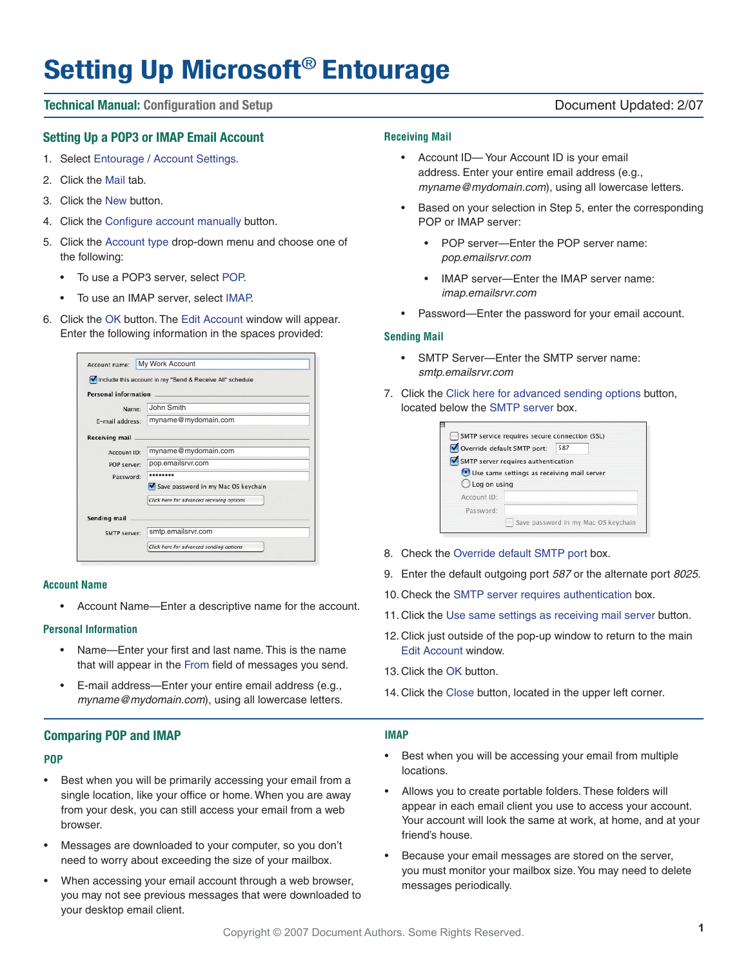# **Setting Up Microsoft**® **Entourage**

# **Technical Manual: Configuration and Setup Document Updated: 2/07 Document Updated: 2/07**

# **Setting Up a POP3 or IMAP Email Account**

- 1. Select Entourage / Account Settings.
- 2. Click the Mail tab.
- 3. Click the New button.
- 4. Click the Configure account manually button.
- 5. Click the Account type drop-down menu and choose one of the following:
	- To use a POP3 server, select POP.
	- To use an IMAP server, select IMAP.
- 6. Click the OK button. The Edit Account window will appear. Enter the following information in the spaces provided:

| Account name:               | My Work Account                                            |  |  |  |
|-----------------------------|------------------------------------------------------------|--|--|--|
|                             | V Include this account in my "Send & Receive All" schedule |  |  |  |
| <b>Personal information</b> |                                                            |  |  |  |
| Name:                       | John Smith                                                 |  |  |  |
| E-mail address:             | myname@mydomain.com                                        |  |  |  |
| <b>Receiving mail</b>       |                                                            |  |  |  |
| Account ID:                 | myname@mydomain.com                                        |  |  |  |
| POP server:                 | pop.emailsrvr.com                                          |  |  |  |
| Password:                   |                                                            |  |  |  |
|                             | Save password in my Mac OS keychain                        |  |  |  |
|                             | Click here for advanced receiving options                  |  |  |  |
| Sending mail                |                                                            |  |  |  |
| SMTP server:                | smtp.emailsrvr.com                                         |  |  |  |
|                             | Click here for advanced sending options                    |  |  |  |

#### **Account Name**

• Account Name—Enter a descriptive name for the account.

#### **Personal Information**

- Name—Enter your first and last name. This is the name that will appear in the From field of messages you send.
- E-mail address—Enter your entire email address (e.g., myname@mydomain.com), using all lowercase letters.

# **Comparing POP and IMAP**

# **POP**

- Best when you will be primarily accessing your email from a single location, like your office or home. When you are away from your desk, you can still access your email from a web browser.
- Messages are downloaded to your computer, so you don't need to worry about exceeding the size of your mailbox.
- When accessing your email account through a web browser, you may not see previous messages that were downloaded to your desktop email client.

#### **Receiving Mail**

- Account ID— Your Account ID is your email address. Enter your entire email address (e.g., myname@mydomain.com), using all lowercase letters.
- Based on your selection in Step 5, enter the corresponding POP or IMAP server:
	- POP server—Enter the POP server name: pop.emailsrvr.com
	- IMAP server—Enter the IMAP server name: imap.emailsrvr.com
- Password—Enter the password for your email account.

#### **Sending Mail**

- SMTP Server—Enter the SMTP server name: smtp.emailsrvr.com
- 7. Click the Click here for advanced sending options button, located below the SMTP server box.

|                        | Override default SMTP port:                | 587 |  |  |
|------------------------|--------------------------------------------|-----|--|--|
|                        | SMTP server requires authentication        |     |  |  |
|                        | Use same settings as receiving mail server |     |  |  |
| $\bigcup$ Log on using |                                            |     |  |  |
| Account ID:            |                                            |     |  |  |
|                        |                                            |     |  |  |

- 8. Check the Override default SMTP port box.
- 9. Enter the default outgoing port 587 or the alternate port 8025.
- 10. Check the SMTP server requires authentication box.
- 11. Click the Use same settings as receiving mail server button.
- 12. Click just outside of the pop-up window to return to the main Edit Account window.
- 13. Click the OK button.
- 14. Click the Close button, located in the upper left corner.

#### **IMAP**

- Best when you will be accessing your email from multiple locations.
- Allows you to create portable folders. These folders will appear in each email client you use to access your account. Your account will look the same at work, at home, and at your friend's house.
- Because your email messages are stored on the server, you must monitor your mailbox size. You may need to delete messages periodically.